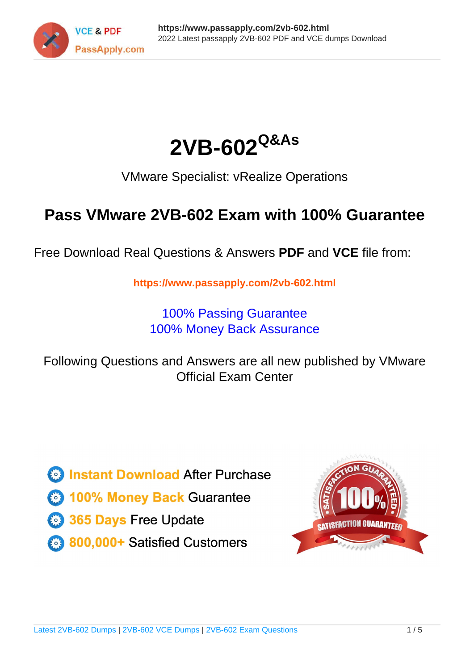



VMware Specialist: vRealize Operations

# **Pass VMware 2VB-602 Exam with 100% Guarantee**

Free Download Real Questions & Answers **PDF** and **VCE** file from:

**https://www.passapply.com/2vb-602.html**

100% Passing Guarantee 100% Money Back Assurance

Following Questions and Answers are all new published by VMware Official Exam Center

**C** Instant Download After Purchase

**83 100% Money Back Guarantee** 

- 365 Days Free Update
- 800,000+ Satisfied Customers

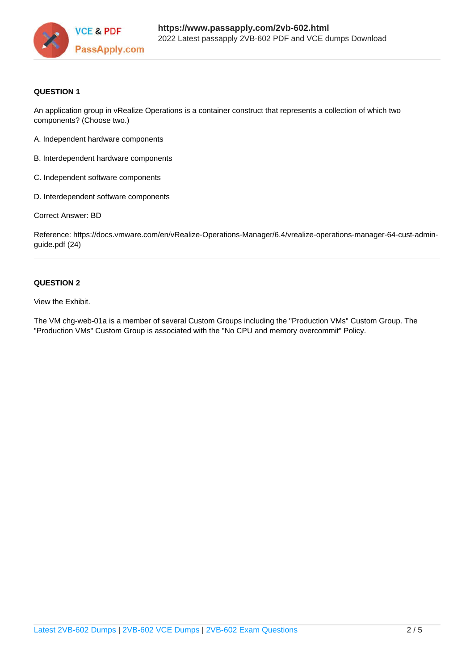

#### **QUESTION 1**

An application group in vRealize Operations is a container construct that represents a collection of which two components? (Choose two.)

- A. Independent hardware components
- B. Interdependent hardware components
- C. Independent software components
- D. Interdependent software components

Correct Answer: BD

Reference: https://docs.vmware.com/en/vRealize-Operations-Manager/6.4/vrealize-operations-manager-64-cust-adminguide.pdf (24)

## **QUESTION 2**

View the Exhibit.

The VM chg-web-01a is a member of several Custom Groups including the "Production VMs" Custom Group. The "Production VMs" Custom Group is associated with the "No CPU and memory overcommit" Policy.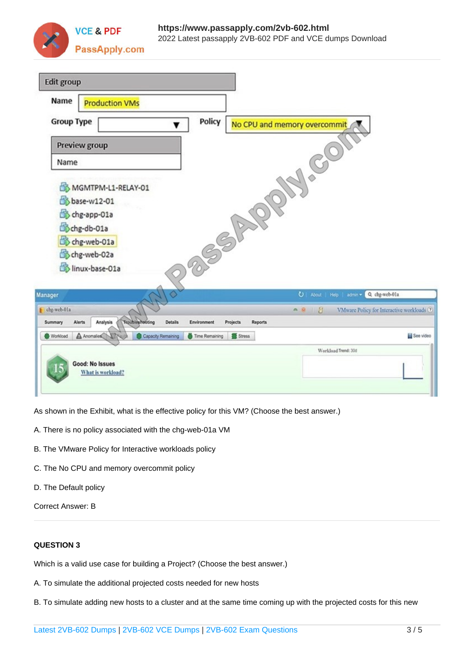

| <b>Edit group</b>                                                                                                      |                                                    |
|------------------------------------------------------------------------------------------------------------------------|----------------------------------------------------|
| Name<br><b>Production VMs</b>                                                                                          |                                                    |
| Policy<br><b>Group Type</b><br>▼                                                                                       | No CPU and memory overcommit                       |
| Preview group                                                                                                          |                                                    |
| Name                                                                                                                   | 1.80                                               |
| MGMTPM-L1-RELAY-01                                                                                                     |                                                    |
| base-w12-01                                                                                                            |                                                    |
| chg-app-01a                                                                                                            |                                                    |
| SORIA<br>Chg-db-01a                                                                                                    |                                                    |
| chg-web-01a                                                                                                            |                                                    |
| chg-web-02a<br>linux-base-01a                                                                                          |                                                    |
|                                                                                                                        |                                                    |
| $\Diamond$<br>Manager                                                                                                  | Q chg-web-01a<br>υ<br>About  <br>Help<br>admin *   |
| chg-web-01a                                                                                                            | 0.000<br>VMware Policy for Interactive workloads ® |
| <b>Troubleshooting</b><br>Analysis<br><b>Details</b><br>Environment<br>Projects<br>Summary<br>Alerts<br><b>Reports</b> |                                                    |
| A Anomalies<br>Capacity Remaining<br>Workload<br>Time Remaining<br>Stress                                              | See video                                          |
|                                                                                                                        | Workload Trend: 30d                                |
| Good: No Issues<br>What is workload?                                                                                   |                                                    |
|                                                                                                                        |                                                    |

As shown in the Exhibit, what is the effective policy for this VM? (Choose the best answer.)

- A. There is no policy associated with the chg-web-01a VM
- B. The VMware Policy for Interactive workloads policy
- C. The No CPU and memory overcommit policy
- D. The Default policy

Correct Answer: B

### **QUESTION 3**

Which is a valid use case for building a Project? (Choose the best answer.)

- A. To simulate the additional projected costs needed for new hosts
- B. To simulate adding new hosts to a cluster and at the same time coming up with the projected costs for this new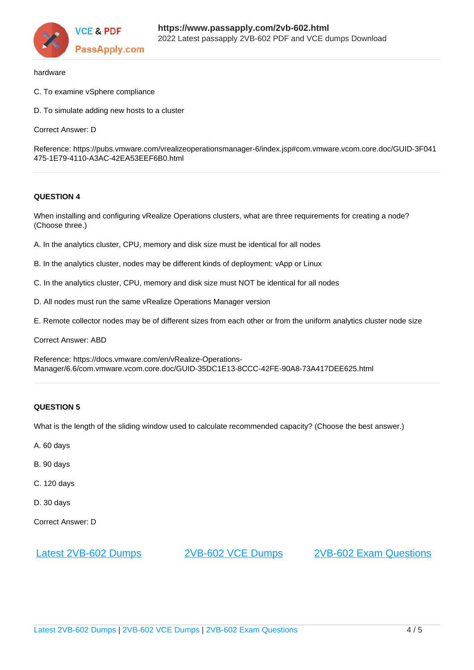

#### hardware

- C. To examine vSphere compliance
- D. To simulate adding new hosts to a cluster

Correct Answer: D

Reference: https://pubs.vmware.com/vrealizeoperationsmanager-6/index.jsp#com.vmware.vcom.core.doc/GUID-3F041 475-1E79-4110-A3AC-42EA53EEF6B0.html

#### **QUESTION 4**

When installing and configuring vRealize Operations clusters, what are three requirements for creating a node? (Choose three.)

- A. In the analytics cluster, CPU, memory and disk size must be identical for all nodes
- B. In the analytics cluster, nodes may be different kinds of deployment: vApp or Linux
- C. In the analytics cluster, CPU, memory and disk size must NOT be identical for all nodes
- D. All nodes must run the same vRealize Operations Manager version
- E. Remote collector nodes may be of different sizes from each other or from the uniform analytics cluster node size

Correct Answer: ABD

Reference: https://docs.vmware.com/en/vRealize-Operations-Manager/6.6/com.vmware.vcom.core.doc/GUID-35DC1E13-8CCC-42FE-90A8-73A417DEE625.html

#### **QUESTION 5**

What is the length of the sliding window used to calculate recommended capacity? (Choose the best answer.)

- A. 60 days
- B. 90 days
- C. 120 days
- D. 30 days
- Correct Answer: D

[Latest 2VB-602 Dumps](https://www.passapply.com/2vb-602.html) [2VB-602 VCE Dumps](https://www.passapply.com/2vb-602.html) [2VB-602 Exam Questions](https://www.passapply.com/2vb-602.html)